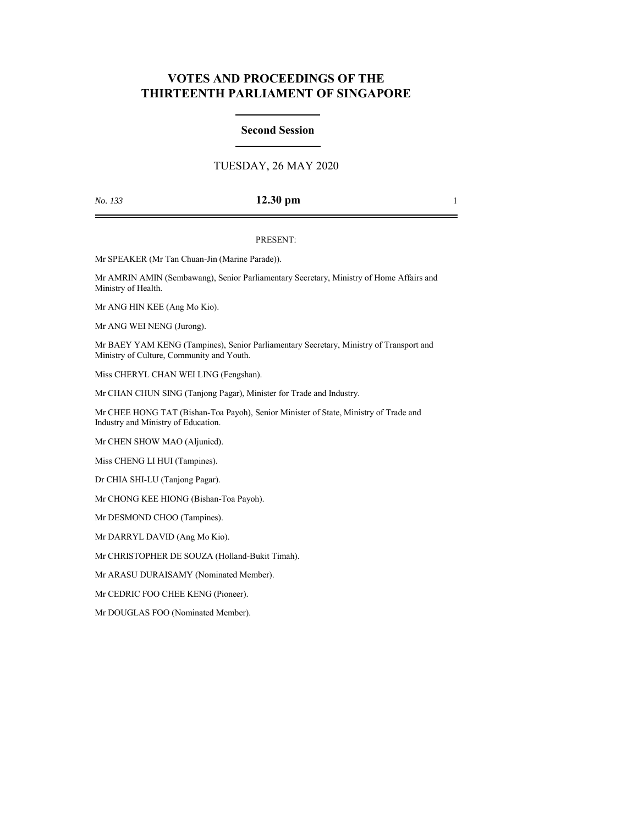# **VOTES AND PROCEEDINGS OF THE THIRTEENTH PARLIAMENT OF SINGAPORE**

### **Second Session**

## TUESDAY, 26 MAY 2020

## *No. 133* **12.30 pm** 1

#### PRESENT:

Mr SPEAKER (Mr Tan Chuan-Jin (Marine Parade)).

Mr AMRIN AMIN (Sembawang), Senior Parliamentary Secretary, Ministry of Home Affairs and Ministry of Health.

Mr ANG HIN KEE (Ang Mo Kio).

Mr ANG WEI NENG (Jurong).

Mr BAEY YAM KENG (Tampines), Senior Parliamentary Secretary, Ministry of Transport and Ministry of Culture, Community and Youth.

Miss CHERYL CHAN WEI LING (Fengshan).

Mr CHAN CHUN SING (Tanjong Pagar), Minister for Trade and Industry.

Mr CHEE HONG TAT (Bishan-Toa Payoh), Senior Minister of State, Ministry of Trade and Industry and Ministry of Education.

Mr CHEN SHOW MAO (Aljunied).

Miss CHENG LI HUI (Tampines).

Dr CHIA SHI-LU (Tanjong Pagar).

Mr CHONG KEE HIONG (Bishan-Toa Payoh).

Mr DESMOND CHOO (Tampines).

Mr DARRYL DAVID (Ang Mo Kio).

Mr CHRISTOPHER DE SOUZA (Holland-Bukit Timah).

Mr ARASU DURAISAMY (Nominated Member).

Mr CEDRIC FOO CHEE KENG (Pioneer).

Mr DOUGLAS FOO (Nominated Member).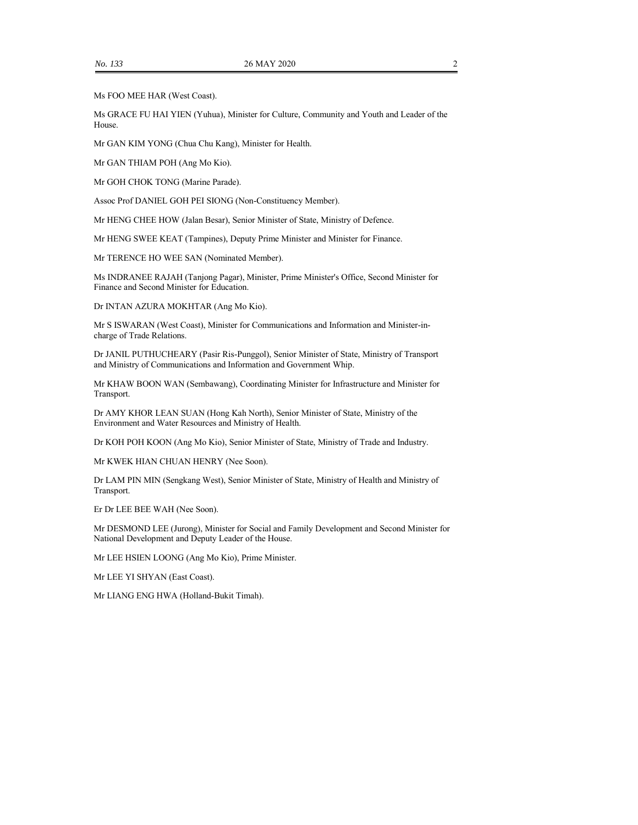Ms FOO MEE HAR (West Coast).

Ms GRACE FU HAI YIEN (Yuhua), Minister for Culture, Community and Youth and Leader of the House.

Mr GAN KIM YONG (Chua Chu Kang), Minister for Health.

Mr GAN THIAM POH (Ang Mo Kio).

Mr GOH CHOK TONG (Marine Parade).

Assoc Prof DANIEL GOH PEI SIONG (Non-Constituency Member).

Mr HENG CHEE HOW (Jalan Besar), Senior Minister of State, Ministry of Defence.

Mr HENG SWEE KEAT (Tampines), Deputy Prime Minister and Minister for Finance.

Mr TERENCE HO WEE SAN (Nominated Member).

Ms INDRANEE RAJAH (Tanjong Pagar), Minister, Prime Minister's Office, Second Minister for Finance and Second Minister for Education.

Dr INTAN AZURA MOKHTAR (Ang Mo Kio).

Mr S ISWARAN (West Coast), Minister for Communications and Information and Minister-incharge of Trade Relations.

Dr JANIL PUTHUCHEARY (Pasir Ris-Punggol), Senior Minister of State, Ministry of Transport and Ministry of Communications and Information and Government Whip.

Mr KHAW BOON WAN (Sembawang), Coordinating Minister for Infrastructure and Minister for Transport.

Dr AMY KHOR LEAN SUAN (Hong Kah North), Senior Minister of State, Ministry of the Environment and Water Resources and Ministry of Health.

Dr KOH POH KOON (Ang Mo Kio), Senior Minister of State, Ministry of Trade and Industry.

Mr KWEK HIAN CHUAN HENRY (Nee Soon).

Dr LAM PIN MIN (Sengkang West), Senior Minister of State, Ministry of Health and Ministry of Transport.

Er Dr LEE BEE WAH (Nee Soon).

Mr DESMOND LEE (Jurong), Minister for Social and Family Development and Second Minister for National Development and Deputy Leader of the House.

Mr LEE HSIEN LOONG (Ang Mo Kio), Prime Minister.

Mr LEE YI SHYAN (East Coast).

Mr LIANG ENG HWA (Holland-Bukit Timah).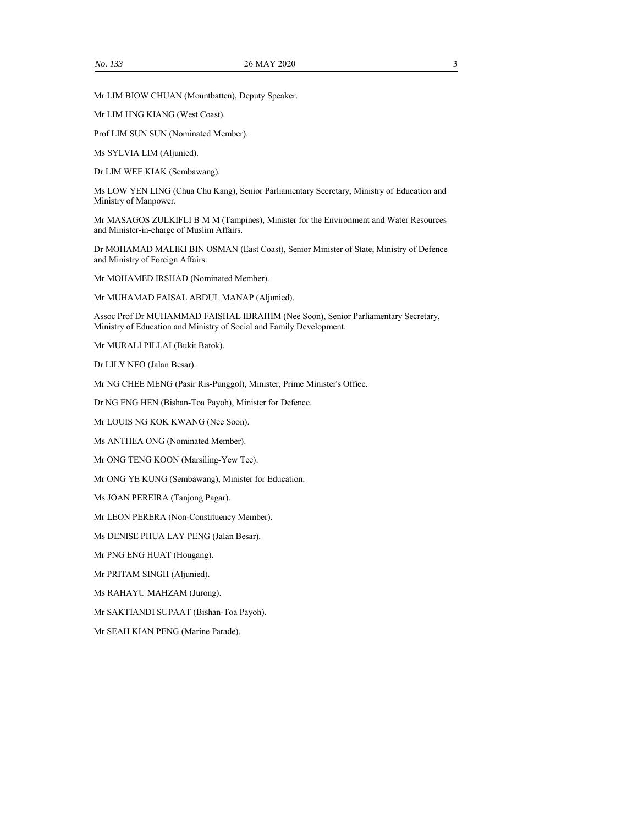Mr LIM BIOW CHUAN (Mountbatten), Deputy Speaker.

Mr LIM HNG KIANG (West Coast).

Prof LIM SUN SUN (Nominated Member).

Ms SYLVIA LIM (Aljunied).

Dr LIM WEE KIAK (Sembawang).

Ms LOW YEN LING (Chua Chu Kang), Senior Parliamentary Secretary, Ministry of Education and Ministry of Manpower.

Mr MASAGOS ZULKIFLI B M M (Tampines), Minister for the Environment and Water Resources and Minister-in-charge of Muslim Affairs.

Dr MOHAMAD MALIKI BIN OSMAN (East Coast), Senior Minister of State, Ministry of Defence and Ministry of Foreign Affairs.

Mr MOHAMED IRSHAD (Nominated Member).

Mr MUHAMAD FAISAL ABDUL MANAP (Aljunied).

Assoc Prof Dr MUHAMMAD FAISHAL IBRAHIM (Nee Soon), Senior Parliamentary Secretary, Ministry of Education and Ministry of Social and Family Development.

Mr MURALI PILLAI (Bukit Batok).

Dr LILY NEO (Jalan Besar).

Mr NG CHEE MENG (Pasir Ris-Punggol), Minister, Prime Minister's Office.

Dr NG ENG HEN (Bishan-Toa Payoh), Minister for Defence.

Mr LOUIS NG KOK KWANG (Nee Soon).

Ms ANTHEA ONG (Nominated Member).

Mr ONG TENG KOON (Marsiling-Yew Tee).

Mr ONG YE KUNG (Sembawang), Minister for Education.

Ms JOAN PEREIRA (Tanjong Pagar).

Mr LEON PERERA (Non-Constituency Member).

Ms DENISE PHUA LAY PENG (Jalan Besar).

Mr PNG ENG HUAT (Hougang).

Mr PRITAM SINGH (Aljunied).

Ms RAHAYU MAHZAM (Jurong).

Mr SAKTIANDI SUPAAT (Bishan-Toa Payoh).

Mr SEAH KIAN PENG (Marine Parade).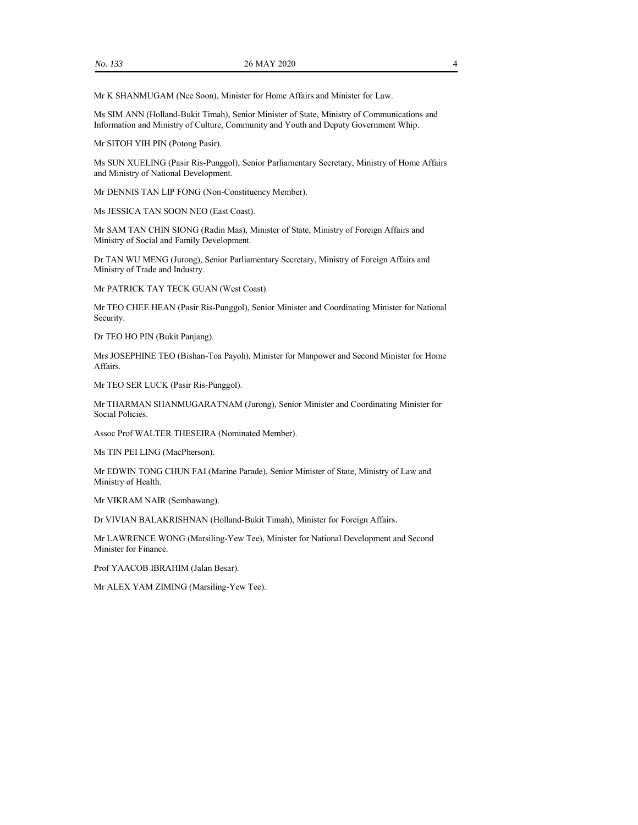Mr K SHANMUGAM (Nee Soon), Minister for Home Affairs and Minister for Law.

Ms SIM ANN (Holland-Bukit Timah), Senior Minister of State, Ministry of Communications and Information and Ministry of Culture, Community and Youth and Deputy Government Whip.

Mr SITOH YIH PIN (Potong Pasir).

Ms SUN XUELING (Pasir Ris-Punggol), Senior Parliamentary Secretary, Ministry of Home Affairs and Ministry of National Development.

Mr DENNIS TAN LIP FONG (Non-Constituency Member).

Ms JESSICA TAN SOON NEO (East Coast).

Mr SAM TAN CHIN SIONG (Radin Mas), Minister of State, Ministry of Foreign Affairs and Ministry of Social and Family Development.

Dr TAN WU MENG (Jurong), Senior Parliamentary Secretary, Ministry of Foreign Affairs and Ministry of Trade and Industry.

Mr PATRICK TAY TECK GUAN (West Coast).

Mr TEO CHEE HEAN (Pasir Ris-Punggol), Senior Minister and Coordinating Minister for National Security.

Dr TEO HO PIN (Bukit Panjang).

Mrs JOSEPHINE TEO (Bishan-Toa Payoh), Minister for Manpower and Second Minister for Home Affairs.

Mr TEO SER LUCK (Pasir Ris-Punggol).

Mr THARMAN SHANMUGARATNAM (Jurong), Senior Minister and Coordinating Minister for Social Policies.

Assoc Prof WALTER THESEIRA (Nominated Member).

Ms TIN PEI LING (MacPherson).

Mr EDWIN TONG CHUN FAI (Marine Parade), Senior Minister of State, Ministry of Law and Ministry of Health.

Mr VIKRAM NAIR (Sembawang).

Dr VIVIAN BALAKRISHNAN (Holland-Bukit Timah), Minister for Foreign Affairs.

Mr LAWRENCE WONG (Marsiling-Yew Tee), Minister for National Development and Second Minister for Finance.

Prof YAACOB IBRAHIM (Jalan Besar).

Mr ALEX YAM ZIMING (Marsiling-Yew Tee).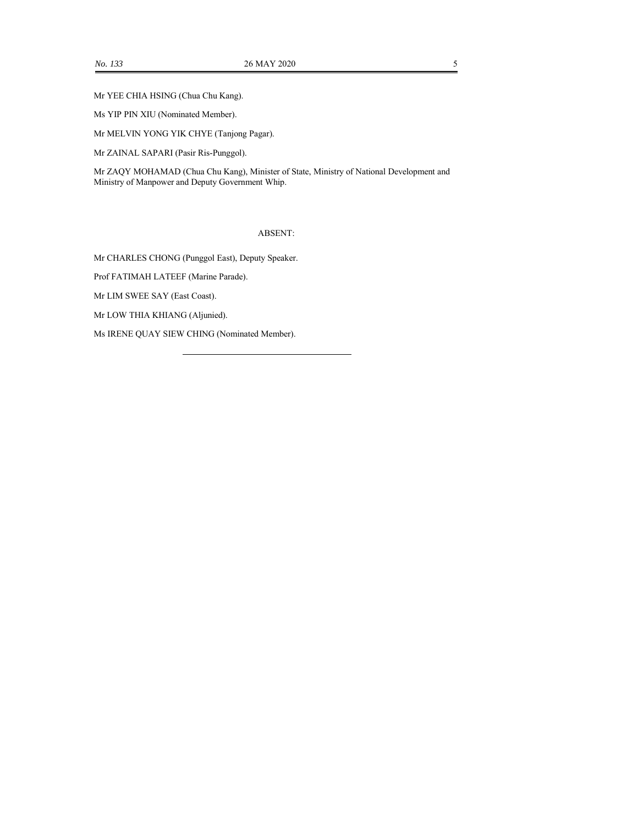Mr YEE CHIA HSING (Chua Chu Kang).

Ms YIP PIN XIU (Nominated Member).

Mr MELVIN YONG YIK CHYE (Tanjong Pagar).

Mr ZAINAL SAPARI (Pasir Ris-Punggol).

Mr ZAQY MOHAMAD (Chua Chu Kang), Minister of State, Ministry of National Development and Ministry of Manpower and Deputy Government Whip.

ABSENT:

Mr CHARLES CHONG (Punggol East), Deputy Speaker.

Prof FATIMAH LATEEF (Marine Parade).

Mr LIM SWEE SAY (East Coast).

Mr LOW THIA KHIANG (Aljunied).

Ms IRENE QUAY SIEW CHING (Nominated Member).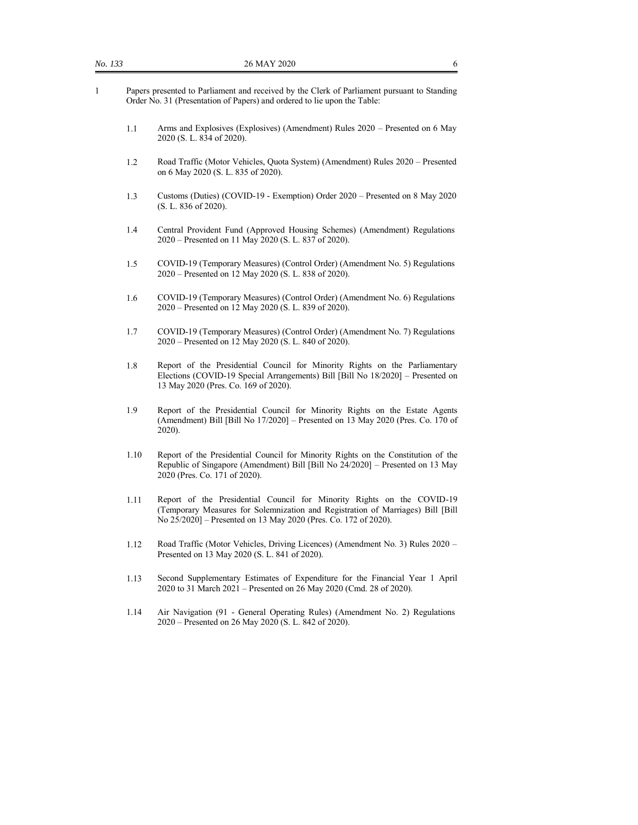- 1.1 Arms and Explosives (Explosives) (Amendment) Rules 2020 Presented on 6 May 2020 (S. L. 834 of 2020).
- 1.2 Road Traffic (Motor Vehicles, Quota System) (Amendment) Rules 2020 Presented on 6 May 2020 (S. L. 835 of 2020).
- 1.3 Customs (Duties) (COVID-19 Exemption) Order 2020 Presented on 8 May 2020 (S. L. 836 of 2020).
- 1.4 Central Provident Fund (Approved Housing Schemes) (Amendment) Regulations 2020 – Presented on 11 May 2020 (S. L. 837 of 2020).
- 1.5 COVID-19 (Temporary Measures) (Control Order) (Amendment No. 5) Regulations 2020 – Presented on 12 May 2020 (S. L. 838 of 2020).
- 1.6 COVID-19 (Temporary Measures) (Control Order) (Amendment No. 6) Regulations 2020 – Presented on 12 May 2020 (S. L. 839 of 2020).
- 1.7 COVID-19 (Temporary Measures) (Control Order) (Amendment No. 7) Regulations 2020 – Presented on 12 May 2020 (S. L. 840 of 2020).
- 1.8 Report of the Presidential Council for Minority Rights on the Parliamentary Elections (COVID-19 Special Arrangements) Bill [Bill No 18/2020] – Presented on 13 May 2020 (Pres. Co. 169 of 2020).
- 1.9 Report of the Presidential Council for Minority Rights on the Estate Agents (Amendment) Bill [Bill No 17/2020] – Presented on 13 May 2020 (Pres. Co. 170 of 2020).
- 1.10 Report of the Presidential Council for Minority Rights on the Constitution of the Republic of Singapore (Amendment) Bill [Bill No 24/2020] – Presented on 13 May 2020 (Pres. Co. 171 of 2020).
- 1.11 Report of the Presidential Council for Minority Rights on the COVID-19 (Temporary Measures for Solemnization and Registration of Marriages) Bill [Bill No 25/2020] – Presented on 13 May 2020 (Pres. Co. 172 of 2020).
- 1.12 Road Traffic (Motor Vehicles, Driving Licences) (Amendment No. 3) Rules 2020 Presented on 13 May 2020 (S. L. 841 of 2020).
- 1.13 Second Supplementary Estimates of Expenditure for the Financial Year 1 April 2020 to 31 March 2021 – Presented on 26 May 2020 (Cmd. 28 of 2020).
- 1.14 Air Navigation (91 General Operating Rules) (Amendment No. 2) Regulations 2020 – Presented on 26 May 2020 (S. L. 842 of 2020).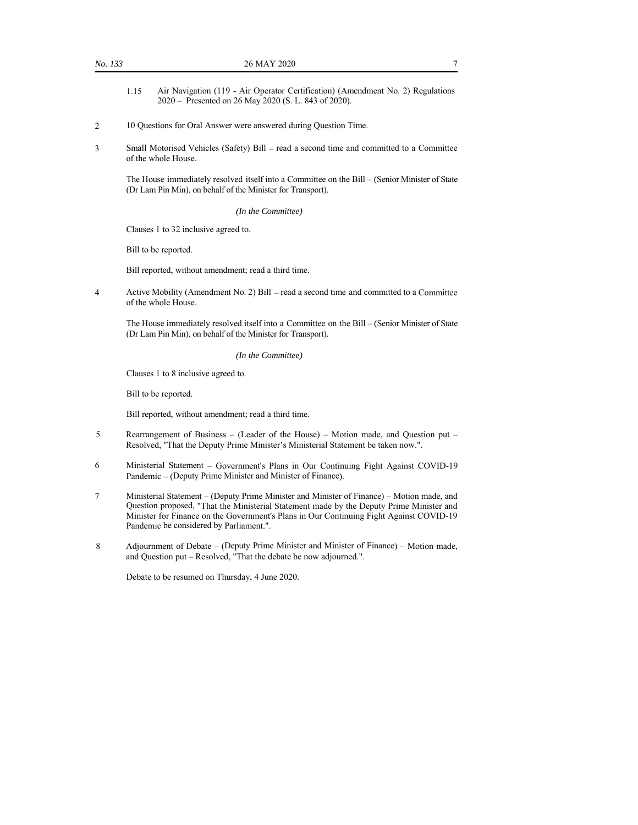- 1.15 Air Navigation (119 Air Operator Certification) (Amendment No. 2) Regulations 2020 – Presented on 26 May 2020 (S. L. 843 of 2020).
- 2 10 Questions for Oral Answer were answered during Question Time.
- 3 Small Motorised Vehicles (Safety) Bill read a second time and committed to a Committee of the whole House.

The House immediately resolved itself into a Committee on the Bill – (Senior Minister of State (Dr Lam Pin Min), on behalf of the Minister for Transport).

*(In the Committee)*

Clauses 1 to 32 inclusive agreed to.

Bill to be reported.

Bill reported, without amendment; read a third time.

4 Active Mobility (Amendment No. 2) Bill – read a second time and committed to a Committee of the whole House.

The House immediately resolved itself into a Committee on the Bill – (Senior Minister of State (Dr Lam Pin Min), on behalf of the Minister for Transport).

*(In the Committee)*

Clauses 1 to 8 inclusive agreed to.

Bill to be reported.

Bill reported, without amendment; read a third time.

- 5 Rearrangement of Business (Leader of the House) Motion made, and Question put Resolved, "That the Deputy Prime Minister's Ministerial Statement be taken now.".
- 6 Ministerial Statement Government's Plans in Our Continuing Fight Against COVID-19 Pandemic – (Deputy Prime Minister and Minister of Finance).
- 7 Ministerial Statement (Deputy Prime Minister and Minister of Finance) Motion made, and Question proposed, "That the Ministerial Statement made by the Deputy Prime Minister and Minister for Finance on the Government's Plans in Our Continuing Fight Against COVID-19 Pandemic be considered by Parliament.".
- 8 Adjournment of Debate (Deputy Prime Minister and Minister of Finance) Motion made, and Question put – Resolved, "That the debate be now adjourned.".

Debate to be resumed on Thursday, 4 June 2020.